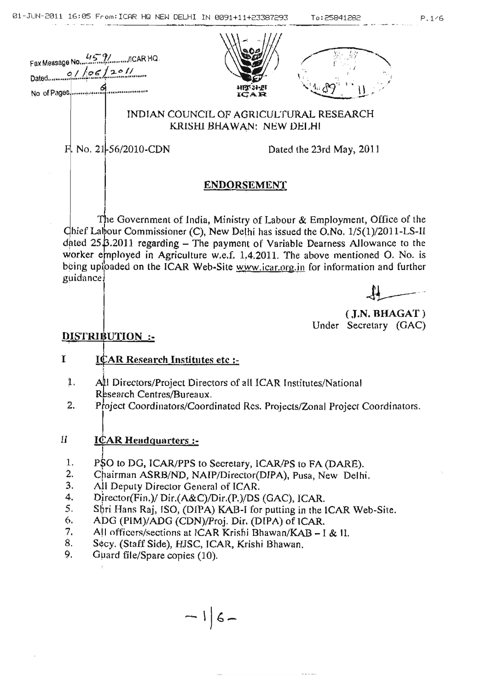





INDIAN COUNCIL OF AGRICULTURAL RESEARCH KRISHI BHAWAN: NEW DELHI

 $F. No. 21 - 56/2010$ -CDN

Dated the 23rd May, 2011

# **ENDORSEMENT**

The Government of India, Ministry of Labour  $\&$  Employment, Office of the Chief Labour Commissioner (C), New Delhi has issued the O.No.  $1/5(1)/2011$ -LS-II dated  $25\beta.2011$  regarding - The payment of Variable Dearness Allowance to the worker employed in Agriculture w.e.f. 1.4.2011. The above mentioned O. No. is being uploaded on the ICAR Web-Site www.icar.org.in for information and further guidance.



 $($  J.N. BHAGAT $)$ Under Secretary (GAC)

# DISTRIBUTION:

# I I $CAR$  Research Institutes etc :-

- 1. All Directors/Project Directors of all ICAR Institutes/National Research Centres/Bureaux.
- 2. Project Coordinators/Coordinated Res. Projects/Zonal Project Coordinators.
- II ICAR Headquarters :-
- 1. PSO to DG, ICAR/PPS to Secretary, ICAR/PS to FA (DARE).
- 2. Chairman ASRB/ND, NAIP/Director(DIPA), Pusa, New Delhi.
- 3. All Deputy Director General of ICAR.
- 4. Director(Fin.)/  $Dir(A \& C)/Dir(P.)/DS$  (GAC), ICAR.
- 5. Shri Hans Raj, ISO, (DIPA) KAB-I for putting in the ICAR Web-Site.
- 9. ApG (PIM)/ADG (CDN)/proj. Dir. (DIPA) of ICAR.
- 7. All officers/sections at ICAR Krishi Bhawan/KAB  $-1 < 11$ .
- 8. Secy. (Staff Side), HJSC, ICAR, Krishi Bhawan.
- 9. Guard file/Spare copies (10).

 $-16-$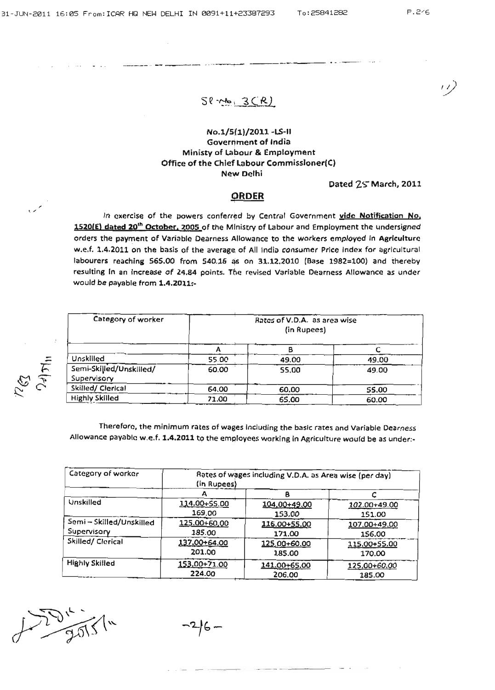*'..v*

 $50 - 3(R)$ 

-\_.\_-\_ .. -- --- ------\_ ..\_-\_...,.\_ ...

### No.l/S(1)/2011 -LS-II Government of India Ministy of Labour & Employment Office of the Chief Labour Commissioner(C) New Delhi

#### Dated 2S"March, 2011

#### **ORDER**

 $\sim$  In exercise of the powers conferred by Central Government vide Notification No, 1520(E) dated 20<sup>th</sup> October. 2005 of the Ministry of Labour and Employment the undersigned orders the payment of Variable Dearness Allowance to the workers emploved in Agriculture w.e.f. 1.4.2011 on the basis of the average of All India consumer Price Index for agricultural labourers reaching 565.00 from 540.16 as on 31.12.2010 (Base 1982=100) and thereby resulting In an Increase of 24.84 points. The revised Variable Dearness Allowance as under would be payable from 1.4.2011:-

| Category of worker                     | Rates of V.D.A. as area wise<br>(in Rupees) |       |       |
|----------------------------------------|---------------------------------------------|-------|-------|
|                                        |                                             |       |       |
| Unskilled                              | <b>55.00</b>                                | 49.00 | 49.00 |
| Semi-Skilled/Unskilled/<br>Supervisory | 60.00                                       | 55.00 | 49.00 |
| Skilled/ Clerical                      | 64.00                                       | 60.00 | 55,00 |
| <b>Highly Skilled</b>                  | 71.00                                       | 65.00 | 60.00 |

Therefore, the minimum rates of wages Including the basic rates and Variable Dearness Allowance payable w.e.f. 1.4.2011 to the employees working in Agriculture would be as under:-

| Category of worker     | Rates of wages including V.D.A. as Area wise (per day)<br>(in Rupees) |              |              |
|------------------------|-----------------------------------------------------------------------|--------------|--------------|
|                        |                                                                       |              |              |
| Unskilled              | 114.00+55.00                                                          | 104,00+49,00 | 102.00+49.00 |
|                        | 169.00                                                                | 153.00       | 151.00       |
| Semi-Skilled/Unskilled | 125.00+60.00                                                          | 116.00+55.00 | 107.00+49.00 |
| Supervisory            | 185.00                                                                | 171.00       | 156.00       |
| Skilled/ Clerical      | 137.00+64.00                                                          | 125.00+60.00 | 115.00+55.00 |
|                        | 201.00                                                                | 185.00       | 170.00       |
| <b>Highly Skilled</b>  | 153,00+71.00                                                          | 141.00+65.00 | 125,00+60.00 |
|                        | 224.00                                                                | 206.00       | 185.00       |

--\_. -- -- -\_ .....\_- ---

 $10^{14}$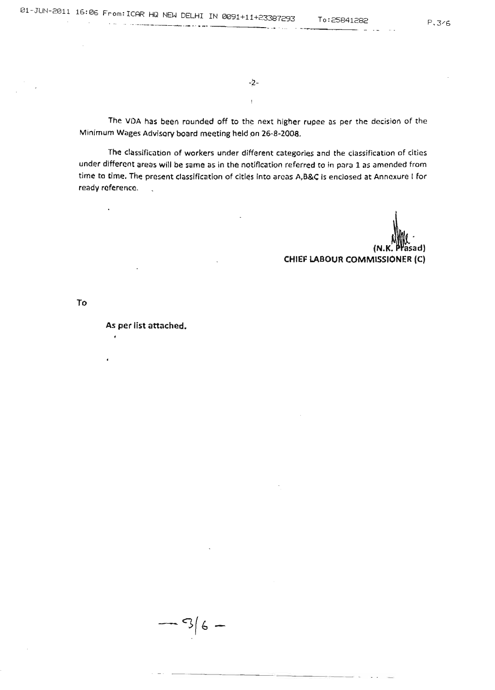-2-

Ţ

The VDA has been rounded off to the next higher rupee as per the decision of the Minimum Wages Advisory board meeting held on 26-8~200a.

The classification of workers under different categories and the classification of cities under different areas will be same as in the notification referred to in para 1 as amended from time to time. The present classification of cities into areas A,B&C Is enclosed at Annexure I for ready reference.  $\mathbb{R}^2$ 

 $(N.K.$   $P$  $Pas$ CHIEF LABOUR COMMISSIONER (C)

To

 $\ddot{\phantom{1}}$ 

#### As per list attached.

 $-36-$ 

---.\_----